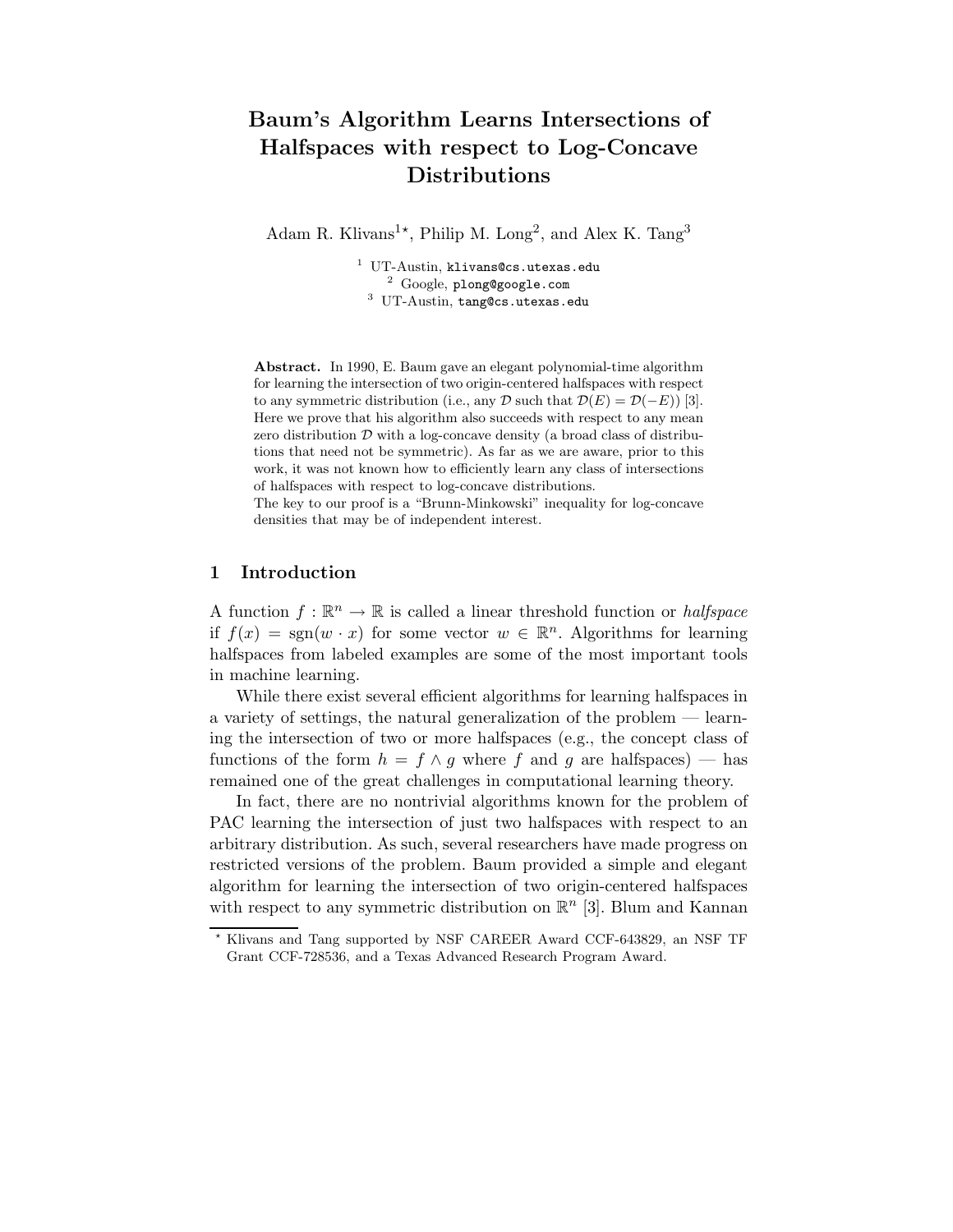# Baum's Algorithm Learns Intersections of Halfspaces with respect to Log-Concave Distributions

Adam R. Klivans<sup>1\*</sup>, Philip M. Long<sup>2</sup>, and Alex K. Tang<sup>3</sup>

<sup>1</sup> UT-Austin, klivans@cs.utexas.edu <sup>2</sup> Google, plong@google.com <sup>3</sup> UT-Austin, tang@cs.utexas.edu

Abstract. In 1990, E. Baum gave an elegant polynomial-time algorithm for learning the intersection of two origin-centered halfspaces with respect to any symmetric distribution (i.e., any  $\mathcal D$  such that  $\mathcal D(E) = \mathcal D(-E)$ ) [3]. Here we prove that his algorithm also succeeds with respect to any mean zero distribution  $D$  with a log-concave density (a broad class of distributions that need not be symmetric). As far as we are aware, prior to this work, it was not known how to efficiently learn any class of intersections of halfspaces with respect to log-concave distributions.

The key to our proof is a "Brunn-Minkowski" inequality for log-concave densities that may be of independent interest.

# 1 Introduction

A function  $f: \mathbb{R}^n \to \mathbb{R}$  is called a linear threshold function or *halfspace* if  $f(x) = sgn(w \cdot x)$  for some vector  $w \in \mathbb{R}^n$ . Algorithms for learning halfspaces from labeled examples are some of the most important tools in machine learning.

While there exist several efficient algorithms for learning halfspaces in a variety of settings, the natural generalization of the problem — learning the intersection of two or more halfspaces (e.g., the concept class of functions of the form  $h = f \wedge g$  where f and g are halfspaces) — has remained one of the great challenges in computational learning theory.

In fact, there are no nontrivial algorithms known for the problem of PAC learning the intersection of just two halfspaces with respect to an arbitrary distribution. As such, several researchers have made progress on restricted versions of the problem. Baum provided a simple and elegant algorithm for learning the intersection of two origin-centered halfspaces with respect to any symmetric distribution on  $\mathbb{R}^n$  [3]. Blum and Kannan

<sup>⋆</sup> Klivans and Tang supported by NSF CAREER Award CCF-643829, an NSF TF Grant CCF-728536, and a Texas Advanced Research Program Award.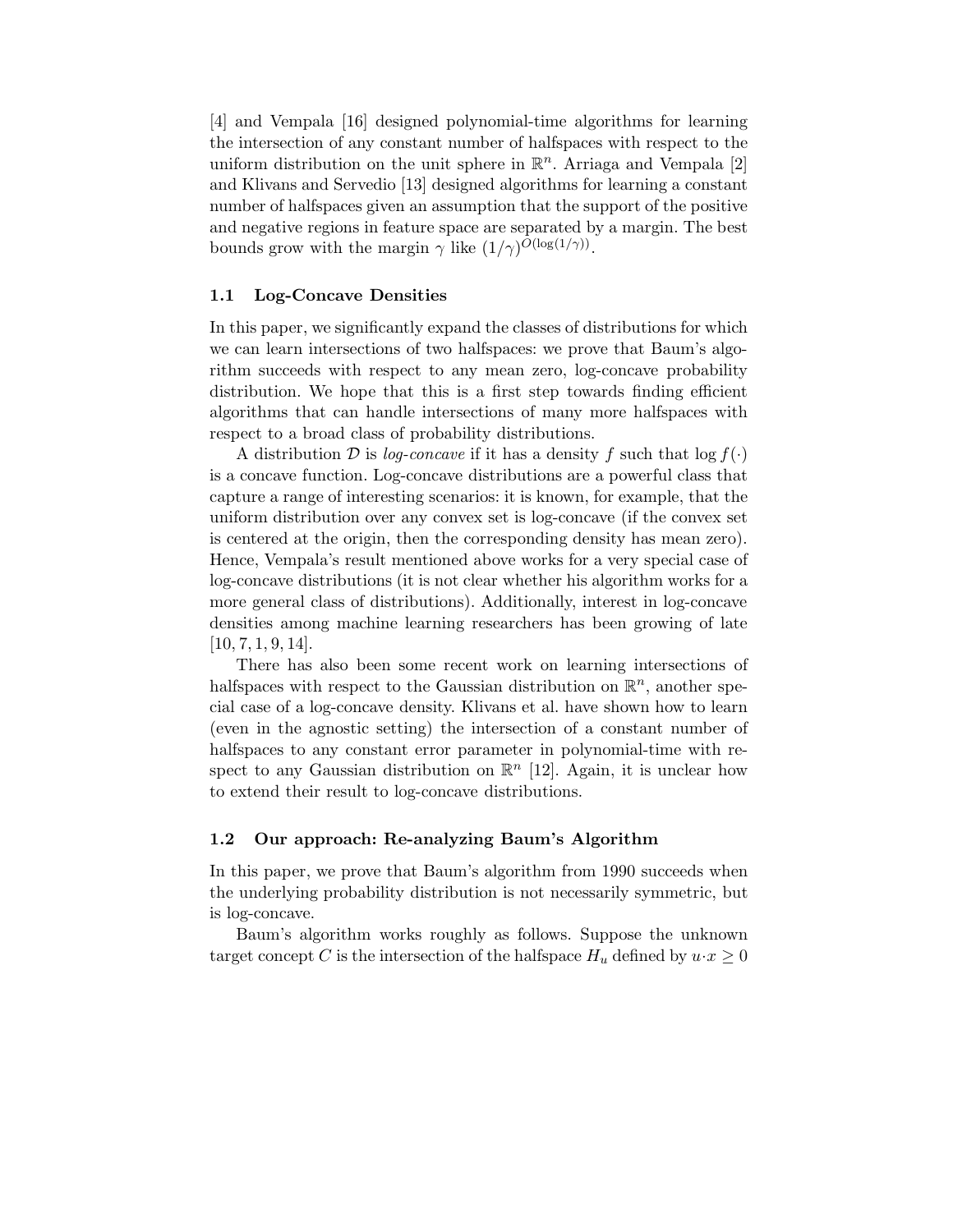[4] and Vempala [16] designed polynomial-time algorithms for learning the intersection of any constant number of halfspaces with respect to the uniform distribution on the unit sphere in  $\mathbb{R}^n$ . Arriaga and Vempala [2] and Klivans and Servedio [13] designed algorithms for learning a constant number of halfspaces given an assumption that the support of the positive and negative regions in feature space are separated by a margin. The best bounds grow with the margin  $\gamma$  like  $(1/\gamma)^{O(\log(1/\gamma))}$ .

# 1.1 Log-Concave Densities

In this paper, we significantly expand the classes of distributions for which we can learn intersections of two halfspaces: we prove that Baum's algorithm succeeds with respect to any mean zero, log-concave probability distribution. We hope that this is a first step towards finding efficient algorithms that can handle intersections of many more halfspaces with respect to a broad class of probability distributions.

A distribution D is *log-concave* if it has a density f such that  $\log f(.)$ is a concave function. Log-concave distributions are a powerful class that capture a range of interesting scenarios: it is known, for example, that the uniform distribution over any convex set is log-concave (if the convex set is centered at the origin, then the corresponding density has mean zero). Hence, Vempala's result mentioned above works for a very special case of log-concave distributions (it is not clear whether his algorithm works for a more general class of distributions). Additionally, interest in log-concave densities among machine learning researchers has been growing of late  $[10, 7, 1, 9, 14]$ .

There has also been some recent work on learning intersections of halfspaces with respect to the Gaussian distribution on  $\mathbb{R}^n$ , another special case of a log-concave density. Klivans et al. have shown how to learn (even in the agnostic setting) the intersection of a constant number of halfspaces to any constant error parameter in polynomial-time with respect to any Gaussian distribution on  $\mathbb{R}^n$  [12]. Again, it is unclear how to extend their result to log-concave distributions.

# 1.2 Our approach: Re-analyzing Baum's Algorithm

In this paper, we prove that Baum's algorithm from 1990 succeeds when the underlying probability distribution is not necessarily symmetric, but is log-concave.

Baum's algorithm works roughly as follows. Suppose the unknown target concept C is the intersection of the halfspace  $H_u$  defined by  $u \cdot x \geq 0$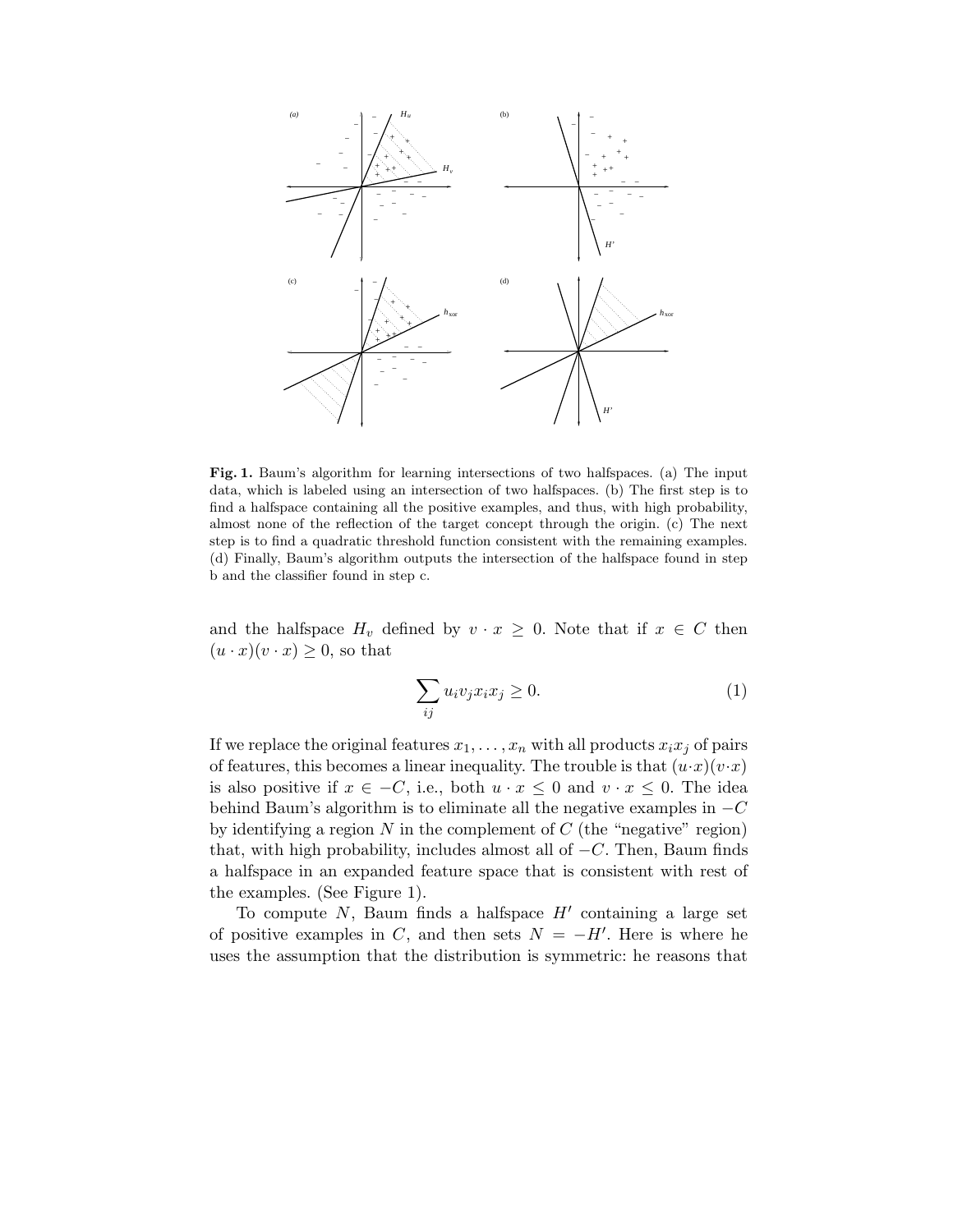

Fig. 1. Baum's algorithm for learning intersections of two halfspaces. (a) The input data, which is labeled using an intersection of two halfspaces. (b) The first step is to find a halfspace containing all the positive examples, and thus, with high probability, almost none of the reflection of the target concept through the origin. (c) The next step is to find a quadratic threshold function consistent with the remaining examples. (d) Finally, Baum's algorithm outputs the intersection of the halfspace found in step b and the classifier found in step c.

and the halfspace  $H_v$  defined by  $v \cdot x \geq 0$ . Note that if  $x \in C$  then  $(u \cdot x)(v \cdot x) \geq 0$ , so that

$$
\sum_{ij} u_i v_j x_i x_j \ge 0.
$$
\n(1)

If we replace the original features  $x_1, \ldots, x_n$  with all products  $x_i x_j$  of pairs of features, this becomes a linear inequality. The trouble is that  $(u \cdot x)(v \cdot x)$ is also positive if  $x \in -C$ , i.e., both  $u \cdot x \leq 0$  and  $v \cdot x \leq 0$ . The idea behind Baum's algorithm is to eliminate all the negative examples in  $-C$ by identifying a region  $N$  in the complement of  $C$  (the "negative" region) that, with high probability, includes almost all of  $-C$ . Then, Baum finds a halfspace in an expanded feature space that is consistent with rest of the examples. (See Figure 1).

To compute  $N$ , Baum finds a halfspace  $H'$  containing a large set of positive examples in C, and then sets  $N = -H'$ . Here is where he uses the assumption that the distribution is symmetric: he reasons that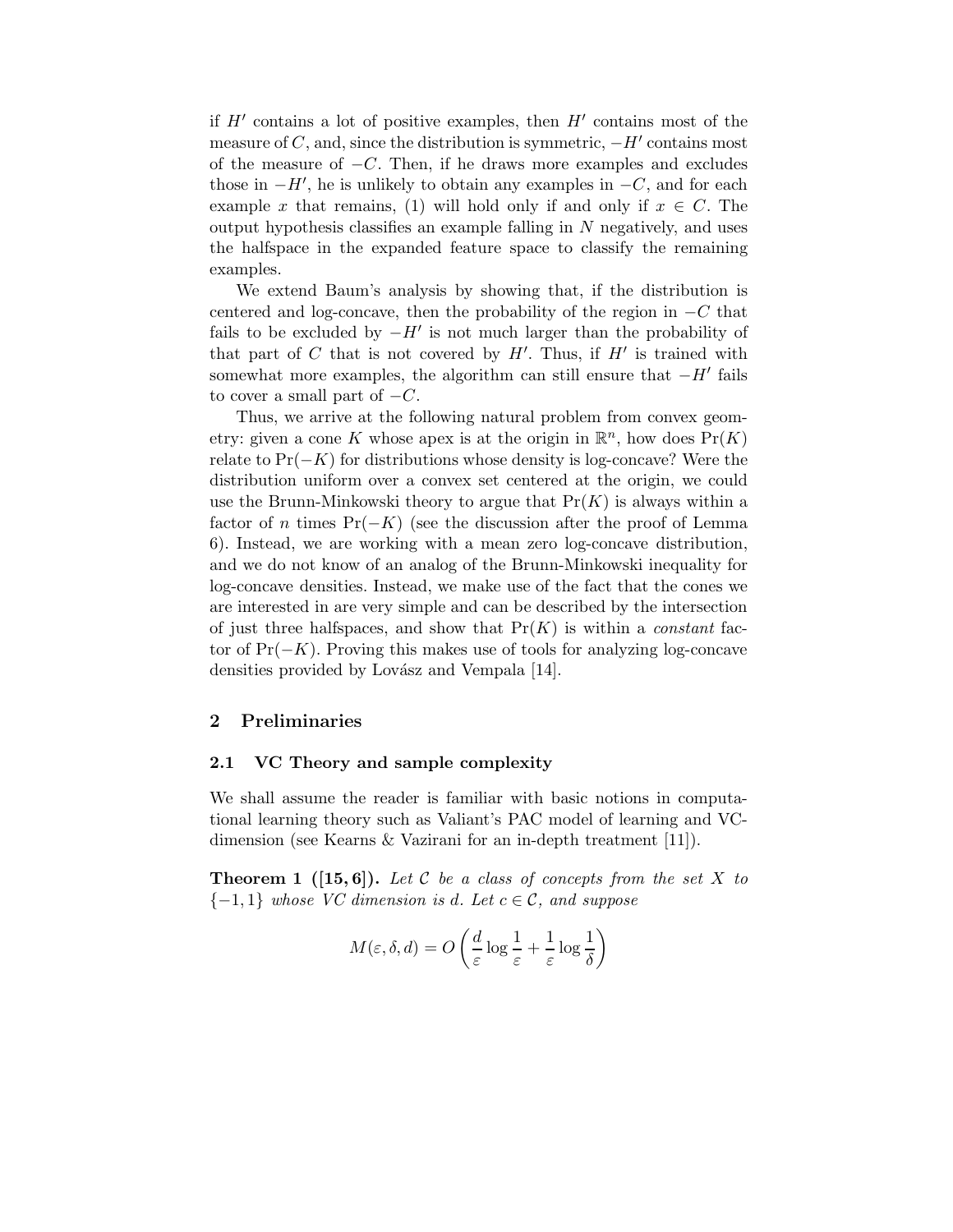if  $H'$  contains a lot of positive examples, then  $H'$  contains most of the measure of  $C$ , and, since the distribution is symmetric,  $-H'$  contains most of the measure of  $-C$ . Then, if he draws more examples and excludes those in  $-H'$ , he is unlikely to obtain any examples in  $-C$ , and for each example x that remains, (1) will hold only if and only if  $x \in C$ . The output hypothesis classifies an example falling in  $N$  negatively, and uses the halfspace in the expanded feature space to classify the remaining examples.

We extend Baum's analysis by showing that, if the distribution is centered and log-concave, then the probability of the region in  $-C$  that fails to be excluded by  $-H'$  is not much larger than the probability of that part of  $C$  that is not covered by  $H'$ . Thus, if  $H'$  is trained with somewhat more examples, the algorithm can still ensure that  $-H'$  fails to cover a small part of  $-C$ .

Thus, we arrive at the following natural problem from convex geometry: given a cone K whose apex is at the origin in  $\mathbb{R}^n$ , how does  $Pr(K)$ relate to  $Pr(-K)$  for distributions whose density is log-concave? Were the distribution uniform over a convex set centered at the origin, we could use the Brunn-Minkowski theory to argue that  $Pr(K)$  is always within a factor of n times  $Pr(-K)$  (see the discussion after the proof of Lemma 6). Instead, we are working with a mean zero log-concave distribution, and we do not know of an analog of the Brunn-Minkowski inequality for log-concave densities. Instead, we make use of the fact that the cones we are interested in are very simple and can be described by the intersection of just three halfspaces, and show that  $Pr(K)$  is within a *constant* factor of  $Pr(-K)$ . Proving this makes use of tools for analyzing log-concave densities provided by Lovász and Vempala [14].

# 2 Preliminaries

#### 2.1 VC Theory and sample complexity

We shall assume the reader is familiar with basic notions in computational learning theory such as Valiant's PAC model of learning and VCdimension (see Kearns & Vazirani for an in-depth treatment [11]).

**Theorem 1** ([15,6]). Let C be a class of concepts from the set X to  ${-1, 1}$  whose VC dimension is d. Let  $c \in \mathcal{C}$ , and suppose

$$
M(\varepsilon, \delta, d) = O\left(\frac{d}{\varepsilon} \log \frac{1}{\varepsilon} + \frac{1}{\varepsilon} \log \frac{1}{\delta}\right)
$$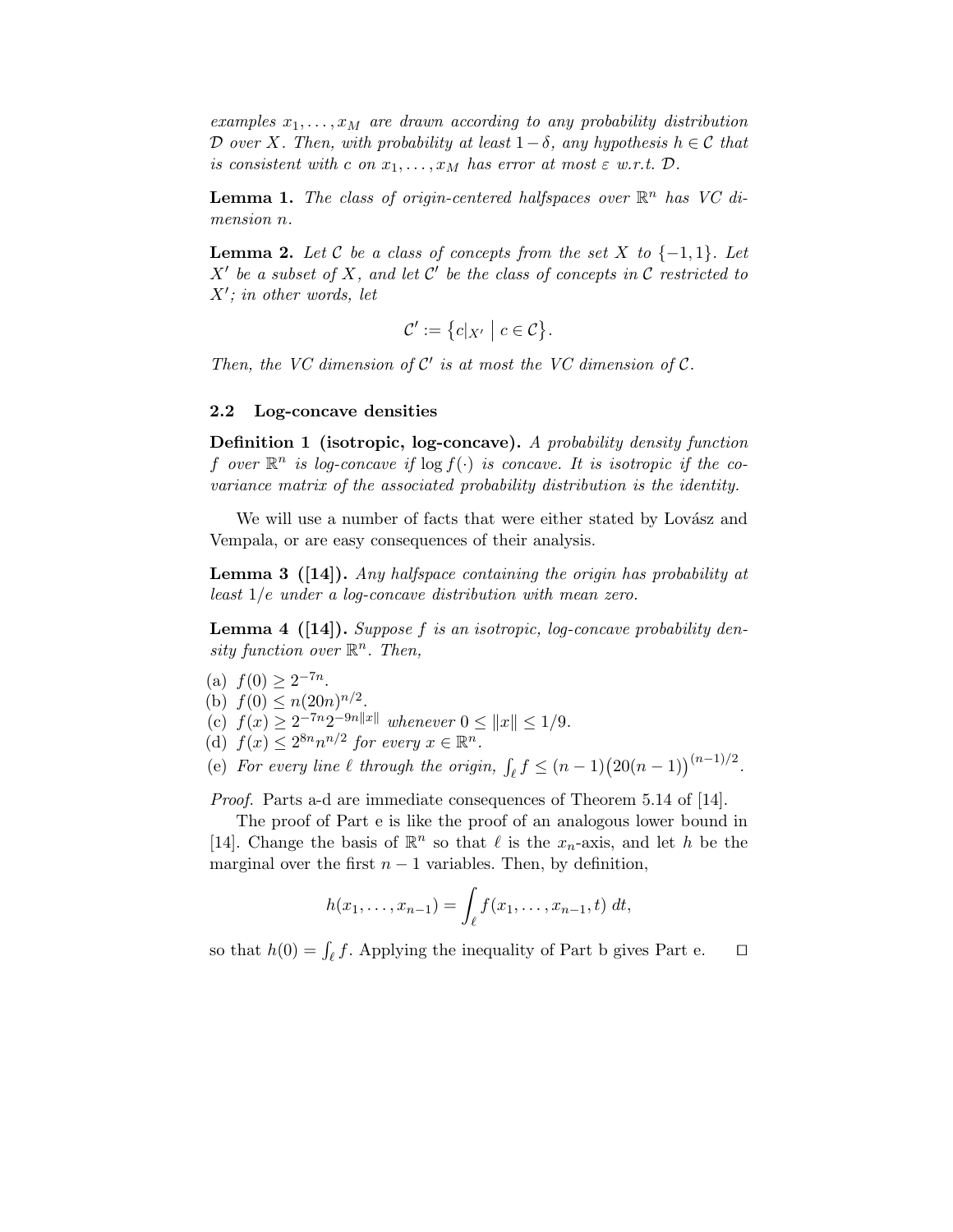examples  $x_1, \ldots, x_M$  are drawn according to any probability distribution D over X. Then, with probability at least  $1-\delta$ , any hypothesis  $h \in \mathcal{C}$  that is consistent with c on  $x_1, \ldots, x_M$  has error at most  $\varepsilon$  w.r.t.  $\mathcal{D}$ .

**Lemma 1.** The class of origin-centered halfspaces over  $\mathbb{R}^n$  has VC dimension n.

**Lemma 2.** Let C be a class of concepts from the set X to  $\{-1,1\}$ . Let  $X'$  be a subset of X, and let  $\mathcal{C}'$  be the class of concepts in  $\mathcal C$  restricted to X′ ; in other words, let

$$
\mathcal{C}' := \big\{ c|_{X'} \; \big| \; c \in \mathcal{C} \big\}.
$$

Then, the VC dimension of  $\mathcal{C}'$  is at most the VC dimension of  $\mathcal{C}$ .

# 2.2 Log-concave densities

Definition 1 (isotropic, log-concave). A probability density function f over  $\mathbb{R}^n$  is log-concave if  $\log f(\cdot)$  is concave. It is isotropic if the covariance matrix of the associated probability distribution is the identity.

We will use a number of facts that were either stated by Lovász and Vempala, or are easy consequences of their analysis.

**Lemma 3** ([14]). Any halfspace containing the origin has probability at least 1/e under a log-concave distribution with mean zero.

**Lemma 4** ([14]). Suppose f is an isotropic, log-concave probability density function over  $\mathbb{R}^n$ . Then,

(a)  $f(0) \ge 2^{-7n}$ . (b)  $f(0) \leq n(20n)^{n/2}$ . (c)  $f(x) \geq 2^{-7n} 2^{-9n||x||}$  whenever  $0 \leq ||x|| \leq 1/9$ . (d)  $f(x) \leq 2^{8n} n^{n/2}$  for every  $x \in \mathbb{R}^n$ . (e) For every line  $\ell$  through the origin,  $\int_{\ell} f \leq (n-1)(20(n-1))^{(n-1)/2}$ .

Proof. Parts a-d are immediate consequences of Theorem 5.14 of [14].

The proof of Part e is like the proof of an analogous lower bound in [14]. Change the basis of  $\mathbb{R}^n$  so that  $\ell$  is the  $x_n$ -axis, and let h be the marginal over the first  $n - 1$  variables. Then, by definition,

$$
h(x_1,...,x_{n-1}) = \int_{\ell} f(x_1,...,x_{n-1},t) dt,
$$

so that  $h(0) = \int_{\ell} f$ . Applying the inequality of Part b gives Part e. □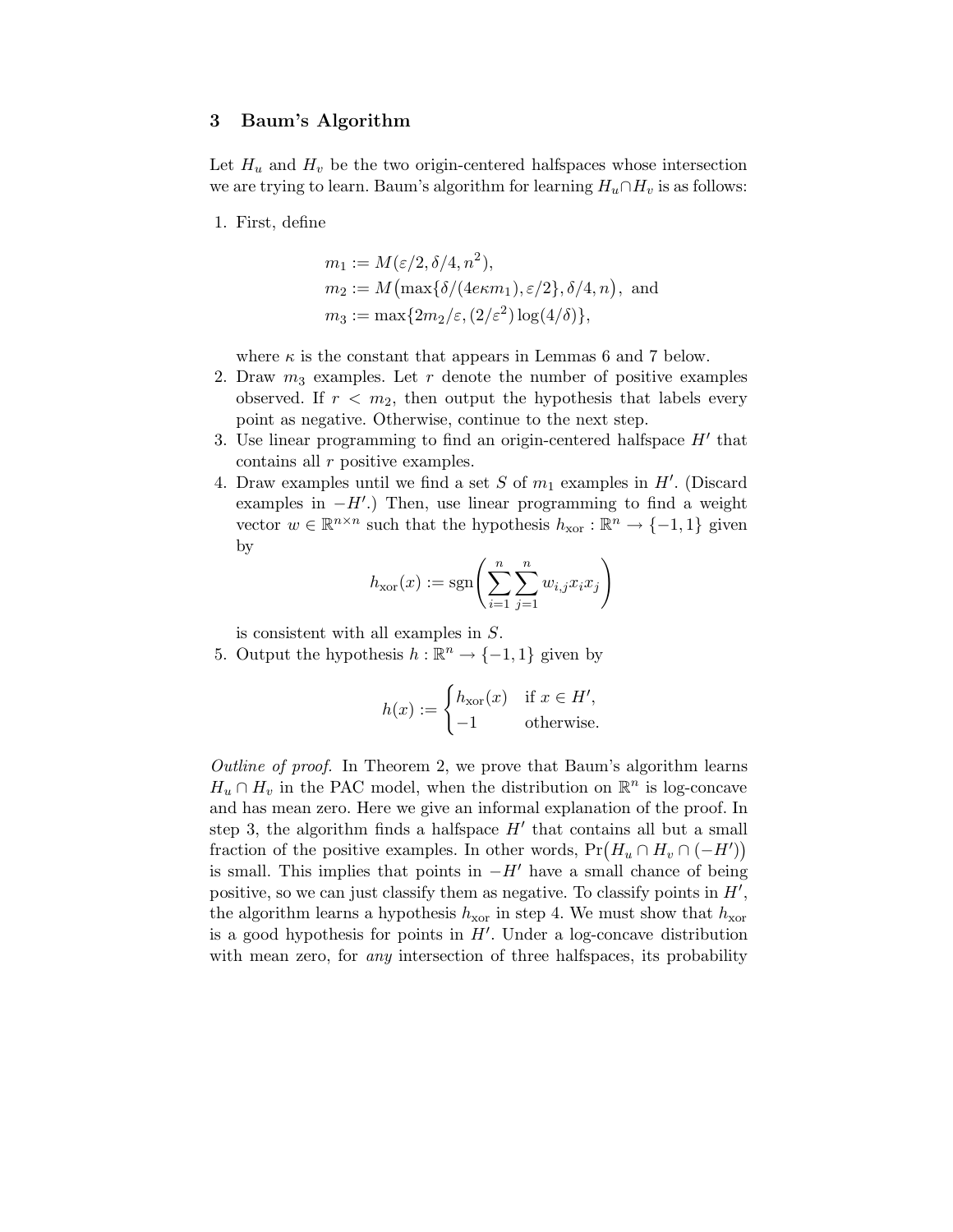# 3 Baum's Algorithm

Let  $H_u$  and  $H_v$  be the two origin-centered halfspaces whose intersection we are trying to learn. Baum's algorithm for learning  $H_u \cap H_v$  is as follows:

1. First, define

$$
m_1 := M(\varepsilon/2, \delta/4, n^2),
$$
  
\n
$$
m_2 := M(\max{\delta/(4e\kappa m_1), \varepsilon/2}, \delta/4, n),
$$
 and  
\n
$$
m_3 := \max{\{2m_2/\varepsilon, (2/\varepsilon^2) \log(4/\delta)\}},
$$

where  $\kappa$  is the constant that appears in Lemmas 6 and 7 below.

- 2. Draw  $m_3$  examples. Let  $r$  denote the number of positive examples observed. If  $r < m_2$ , then output the hypothesis that labels every point as negative. Otherwise, continue to the next step.
- 3. Use linear programming to find an origin-centered halfspace  $H'$  that contains all r positive examples.
- 4. Draw examples until we find a set S of  $m_1$  examples in  $H'$ . (Discard examples in  $-H'$ .) Then, use linear programming to find a weight vector  $w \in \mathbb{R}^{n \times n}$  such that the hypothesis  $h_{\text{xor}} : \mathbb{R}^n \to \{-1, 1\}$  given by

$$
h_{\text{xor}}(x) := \text{sgn}\left(\sum_{i=1}^{n} \sum_{j=1}^{n} w_{i,j} x_i x_j\right)
$$

is consistent with all examples in S.

5. Output the hypothesis  $h : \mathbb{R}^n \to \{-1, 1\}$  given by

$$
h(x) := \begin{cases} h_{\text{xor}}(x) & \text{if } x \in H', \\ -1 & \text{otherwise.} \end{cases}
$$

Outline of proof. In Theorem 2, we prove that Baum's algorithm learns  $H_u \cap H_v$  in the PAC model, when the distribution on  $\mathbb{R}^n$  is log-concave and has mean zero. Here we give an informal explanation of the proof. In step 3, the algorithm finds a halfspace  $H'$  that contains all but a small fraction of the positive examples. In other words,  $Pr(H_u \cap H_v \cap (-H'))$ is small. This implies that points in  $-H'$  have a small chance of being positive, so we can just classify them as negative. To classify points in  $H'$ , the algorithm learns a hypothesis  $h_{\text{xor}}$  in step 4. We must show that  $h_{\text{xor}}$ is a good hypothesis for points in  $H'$ . Under a log-concave distribution with mean zero, for *any* intersection of three halfspaces, its probability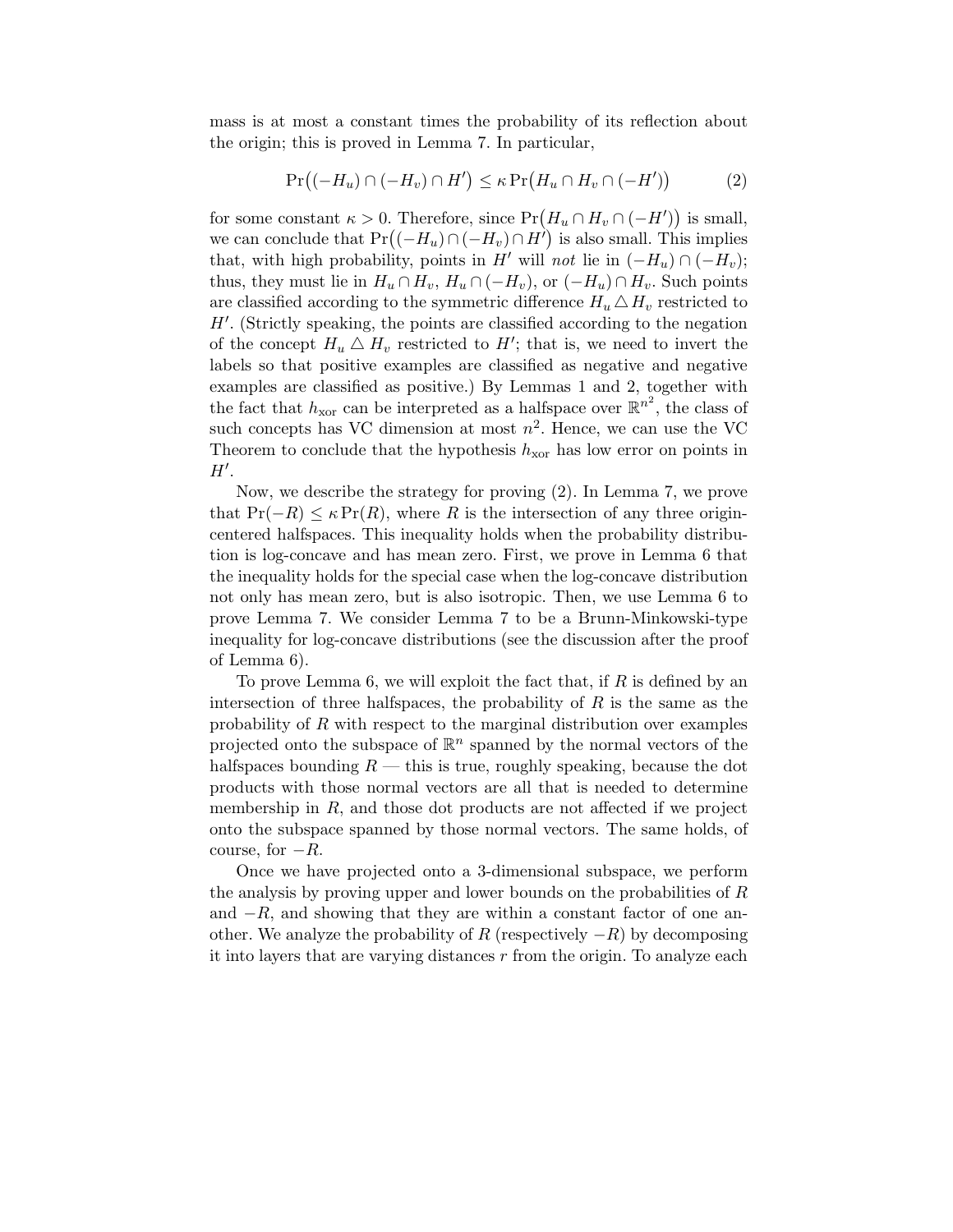mass is at most a constant times the probability of its reflection about the origin; this is proved in Lemma 7. In particular,

$$
\Pr((-H_u) \cap (-H_v) \cap H') \le \kappa \Pr(H_u \cap H_v \cap (-H')) \tag{2}
$$

for some constant  $\kappa > 0$ . Therefore, since  $Pr(H_u \cap H_v \cap (-H'))$  is small, we can conclude that  $Pr((-H_u) \cap (-H_v) \cap H')$  is also small. This implies that, with high probability, points in H' will not lie in  $(-H_u) \cap (-H_v)$ ; thus, they must lie in  $H_u \cap H_v$ ,  $H_u \cap (-H_v)$ , or  $(-H_u) \cap H_v$ . Such points are classified according to the symmetric difference  $H_u \Delta H_v$  restricted to H′ . (Strictly speaking, the points are classified according to the negation of the concept  $H_u \triangle H_v$  restricted to  $H'$ ; that is, we need to invert the labels so that positive examples are classified as negative and negative examples are classified as positive.) By Lemmas 1 and 2, together with the fact that  $h_{\text{xor}}$  can be interpreted as a halfspace over  $\mathbb{R}^{n^2}$ , the class of such concepts has VC dimension at most  $n^2$ . Hence, we can use the VC Theorem to conclude that the hypothesis  $h_{\text{xor}}$  has low error on points in  $H'.$ 

Now, we describe the strategy for proving (2). In Lemma 7, we prove that  $Pr(-R) \leq \kappa Pr(R)$ , where R is the intersection of any three origincentered halfspaces. This inequality holds when the probability distribution is log-concave and has mean zero. First, we prove in Lemma 6 that the inequality holds for the special case when the log-concave distribution not only has mean zero, but is also isotropic. Then, we use Lemma 6 to prove Lemma 7. We consider Lemma 7 to be a Brunn-Minkowski-type inequality for log-concave distributions (see the discussion after the proof of Lemma 6).

To prove Lemma 6, we will exploit the fact that, if  $R$  is defined by an intersection of three halfspaces, the probability of  $R$  is the same as the probability of R with respect to the marginal distribution over examples projected onto the subspace of  $\mathbb{R}^n$  spanned by the normal vectors of the halfspaces bounding  $R$  — this is true, roughly speaking, because the dot products with those normal vectors are all that is needed to determine membership in  $R$ , and those dot products are not affected if we project onto the subspace spanned by those normal vectors. The same holds, of course, for  $-R$ .

Once we have projected onto a 3-dimensional subspace, we perform the analysis by proving upper and lower bounds on the probabilities of R and  $-R$ , and showing that they are within a constant factor of one another. We analyze the probability of R (respectively  $-R$ ) by decomposing it into layers that are varying distances  $r$  from the origin. To analyze each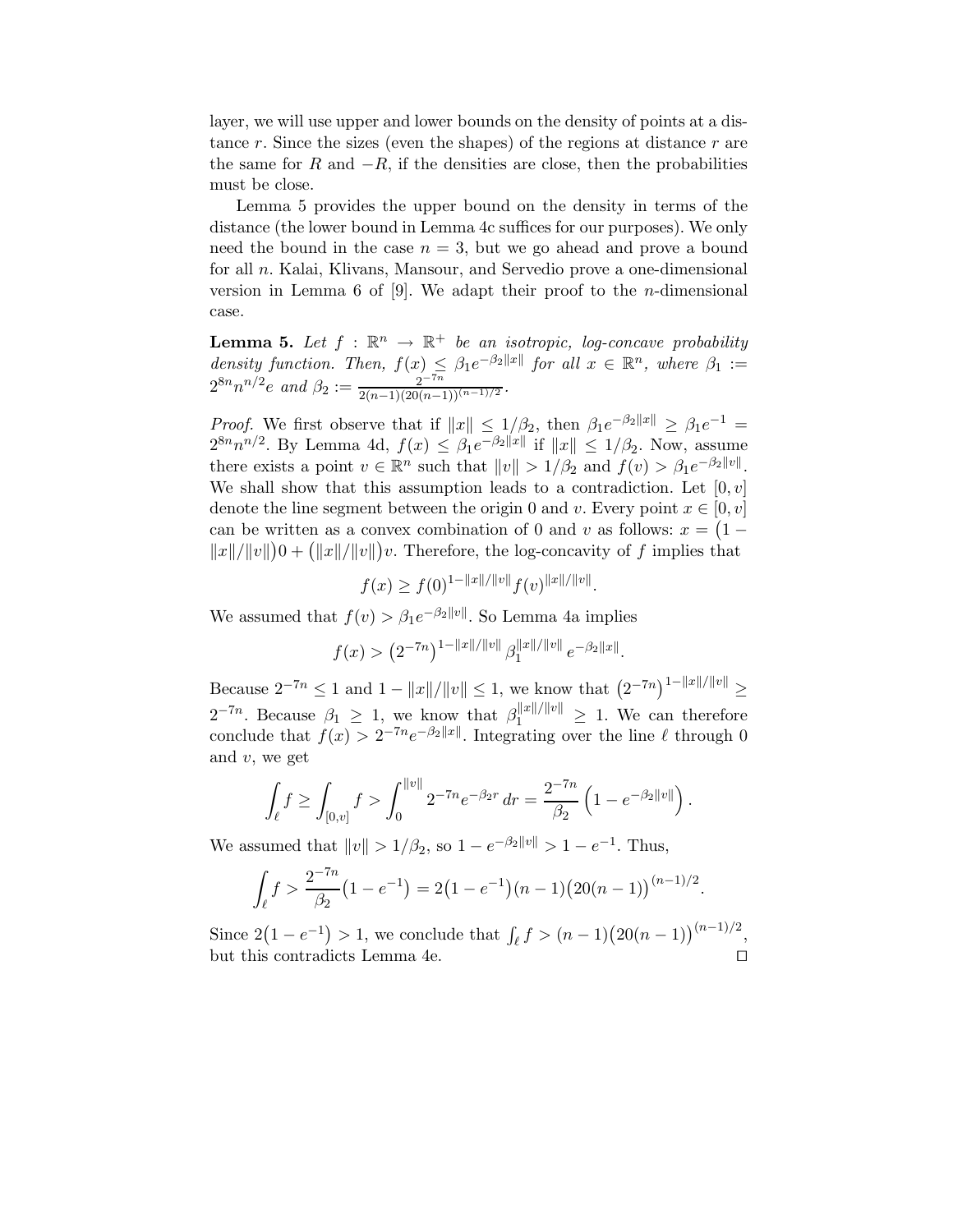layer, we will use upper and lower bounds on the density of points at a distance r. Since the sizes (even the shapes) of the regions at distance r are the same for R and  $-R$ , if the densities are close, then the probabilities must be close.

Lemma 5 provides the upper bound on the density in terms of the distance (the lower bound in Lemma 4c suffices for our purposes). We only need the bound in the case  $n = 3$ , but we go ahead and prove a bound for all n. Kalai, Klivans, Mansour, and Servedio prove a one-dimensional version in Lemma 6 of [9]. We adapt their proof to the *n*-dimensional case.

**Lemma 5.** Let  $f : \mathbb{R}^n \to \mathbb{R}^+$  be an isotropic, log-concave probability density function. Then,  $f(x) \leq \beta_1 e^{-\beta_2 ||x||}$  for all  $x \in \mathbb{R}^n$ , where  $\beta_1 :=$  $2^{8n}n^{n/2}e$  and  $\beta_2:=\frac{2^{-7n}}{2(n-1)(20(n-1))^{(n-1)/2}}$ .

*Proof.* We first observe that if  $||x|| \leq 1/\beta_2$ , then  $\beta_1 e^{-\beta_2 ||x||} \geq \beta_1 e^{-1}$  $2^{8n}n^{n/2}$ . By Lemma 4d,  $f(x) \leq \beta_1 e^{-\beta_2 ||x||}$  if  $||x|| \leq 1/\beta_2$ . Now, assume there exists a point  $v \in \mathbb{R}^n$  such that  $||v|| > 1/\beta_2$  and  $f(v) > \beta_1 e^{-\beta_2 ||v||}$ . We shall show that this assumption leads to a contradiction. Let  $[0, v]$ denote the line segment between the origin 0 and v. Every point  $x \in [0, v]$ can be written as a convex combination of 0 and v as follows:  $x = (1 ||x||/||v||$ )0 +  $(||x||/||v||)v$ . Therefore, the log-concavity of f implies that

$$
f(x) \ge f(0)^{1-||x||/||v||} f(v)^{||x||/||v||}.
$$

We assumed that  $f(v) > \beta_1 e^{-\beta_2 ||v||}$ . So Lemma 4a implies

$$
f(x) > (2^{-7n})^{1 - ||x||/||v||} \beta_1^{||x||/||v||} e^{-\beta_2 ||x||}.
$$

Because  $2^{-7n} \leq 1$  and  $1 - ||x||/||v|| \leq 1$ , we know that  $(2^{-7n})^{1-||x||/||v||} \geq$  $2^{-7n}$ . Because  $\beta_1 \geq 1$ , we know that  $\beta_1^{\|x\|/\|v\|} \geq 1$ . We can therefore conclude that  $f(x) > 2^{-7n} e^{-\beta_2 ||x||}$ . Integrating over the line  $\ell$  through 0 and  $v$ , we get

$$
\int_{\ell} f \ge \int_{[0,v]} f > \int_0^{\|v\|} 2^{-7n} e^{-\beta_2 r} dr = \frac{2^{-7n}}{\beta_2} \left( 1 - e^{-\beta_2 \|v\|} \right).
$$

We assumed that  $||v|| > 1/\beta_2$ , so  $1 - e^{-\beta_2 ||v||} > 1 - e^{-1}$ . Thus,

$$
\int_{\ell} f > \frac{2^{-7n}}{\beta_2} (1 - e^{-1}) = 2(1 - e^{-1})(n - 1)(20(n - 1))^{(n-1)/2}.
$$

Since  $2(1-e^{-1}) > 1$ , we conclude that  $\int_{\ell} f > (n-1)(20(n-1))^{(n-1)/2}$ , but this contradicts Lemma 4e.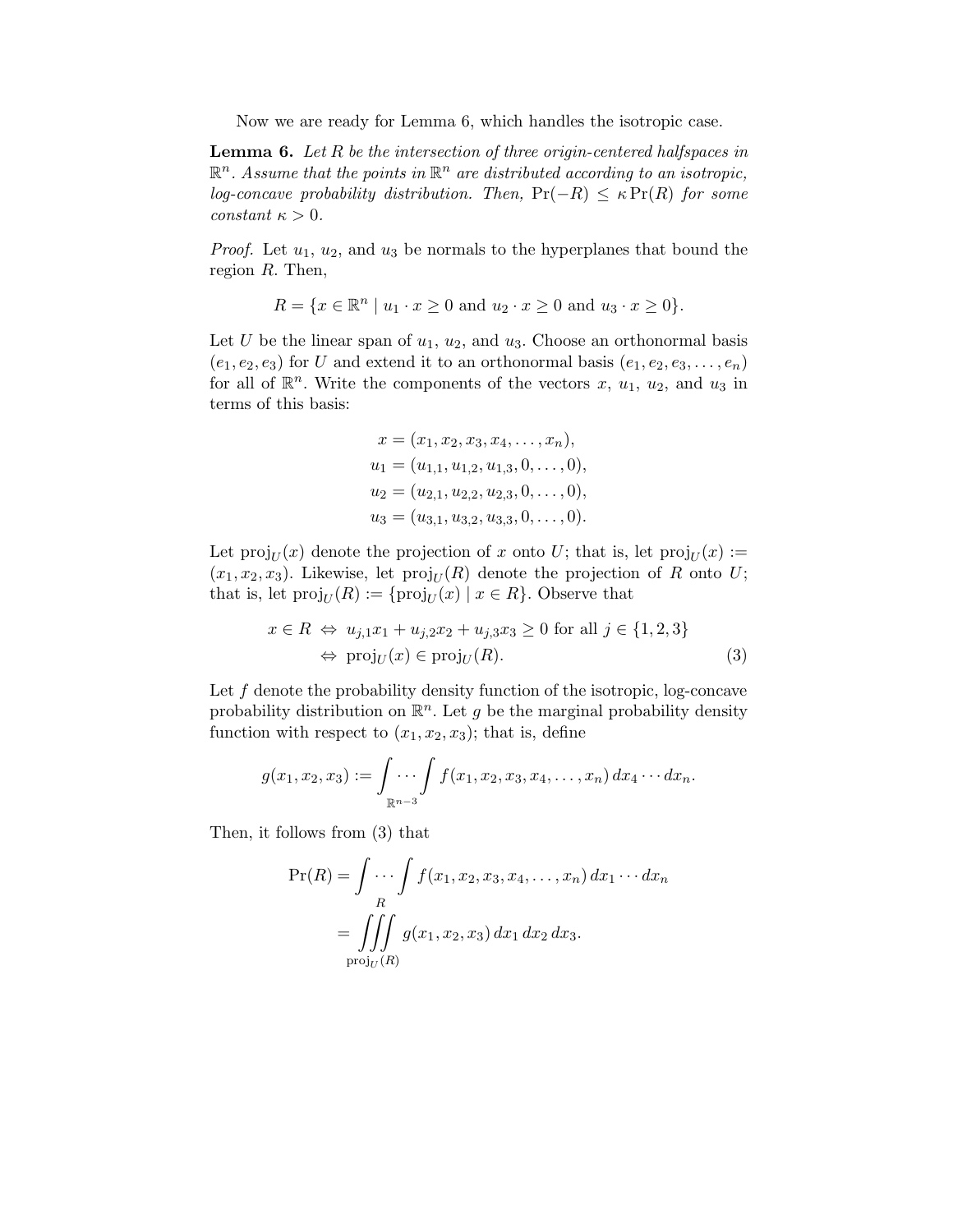Now we are ready for Lemma 6, which handles the isotropic case.

**Lemma 6.** Let  $R$  be the intersection of three origin-centered halfspaces in  $\mathbb{R}^n$ . Assume that the points in  $\mathbb{R}^n$  are distributed according to an isotropic, log-concave probability distribution. Then,  $Pr(-R) \leq \kappa Pr(R)$  for some constant  $\kappa > 0$ .

*Proof.* Let  $u_1, u_2$ , and  $u_3$  be normals to the hyperplanes that bound the region  $R$ . Then,

$$
R = \{x \in \mathbb{R}^n \mid u_1 \cdot x \ge 0 \text{ and } u_2 \cdot x \ge 0 \text{ and } u_3 \cdot x \ge 0\}.
$$

Let U be the linear span of  $u_1, u_2$ , and  $u_3$ . Choose an orthonormal basis  $(e_1, e_2, e_3)$  for U and extend it to an orthonormal basis  $(e_1, e_2, e_3, \ldots, e_n)$ for all of  $\mathbb{R}^n$ . Write the components of the vectors x,  $u_1$ ,  $u_2$ , and  $u_3$  in terms of this basis:

$$
x = (x_1, x_2, x_3, x_4, \dots, x_n),
$$
  
\n
$$
u_1 = (u_{1,1}, u_{1,2}, u_{1,3}, 0, \dots, 0),
$$
  
\n
$$
u_2 = (u_{2,1}, u_{2,2}, u_{2,3}, 0, \dots, 0),
$$
  
\n
$$
u_3 = (u_{3,1}, u_{3,2}, u_{3,3}, 0, \dots, 0).
$$

Let  $proj_U(x)$  denote the projection of x onto U; that is, let  $proj_U(x) :=$  $(x_1, x_2, x_3)$ . Likewise, let  $proj_U(R)$  denote the projection of R onto U; that is, let  $\text{proj}_U(R) := \{ \text{proj}_U(x) \mid x \in R \}$ . Observe that

$$
x \in R \iff u_{j,1}x_1 + u_{j,2}x_2 + u_{j,3}x_3 \ge 0 \text{ for all } j \in \{1, 2, 3\}
$$
  

$$
\iff \text{proj}_U(x) \in \text{proj}_U(R). \tag{3}
$$

Let  $f$  denote the probability density function of the isotropic, log-concave probability distribution on  $\mathbb{R}^n$ . Let g be the marginal probability density function with respect to  $(x_1, x_2, x_3)$ ; that is, define

$$
g(x_1, x_2, x_3) := \int_{\mathbb{R}^{n-3}} \int f(x_1, x_2, x_3, x_4, \dots, x_n) dx_4 \cdots dx_n.
$$

Then, it follows from (3) that

$$
\Pr(R) = \int \cdots \int f(x_1, x_2, x_3, x_4, \dots, x_n) dx_1 \cdots dx_n
$$

$$
= \iiint\limits_{\text{proj}_U(R)} g(x_1, x_2, x_3) dx_1 dx_2 dx_3.
$$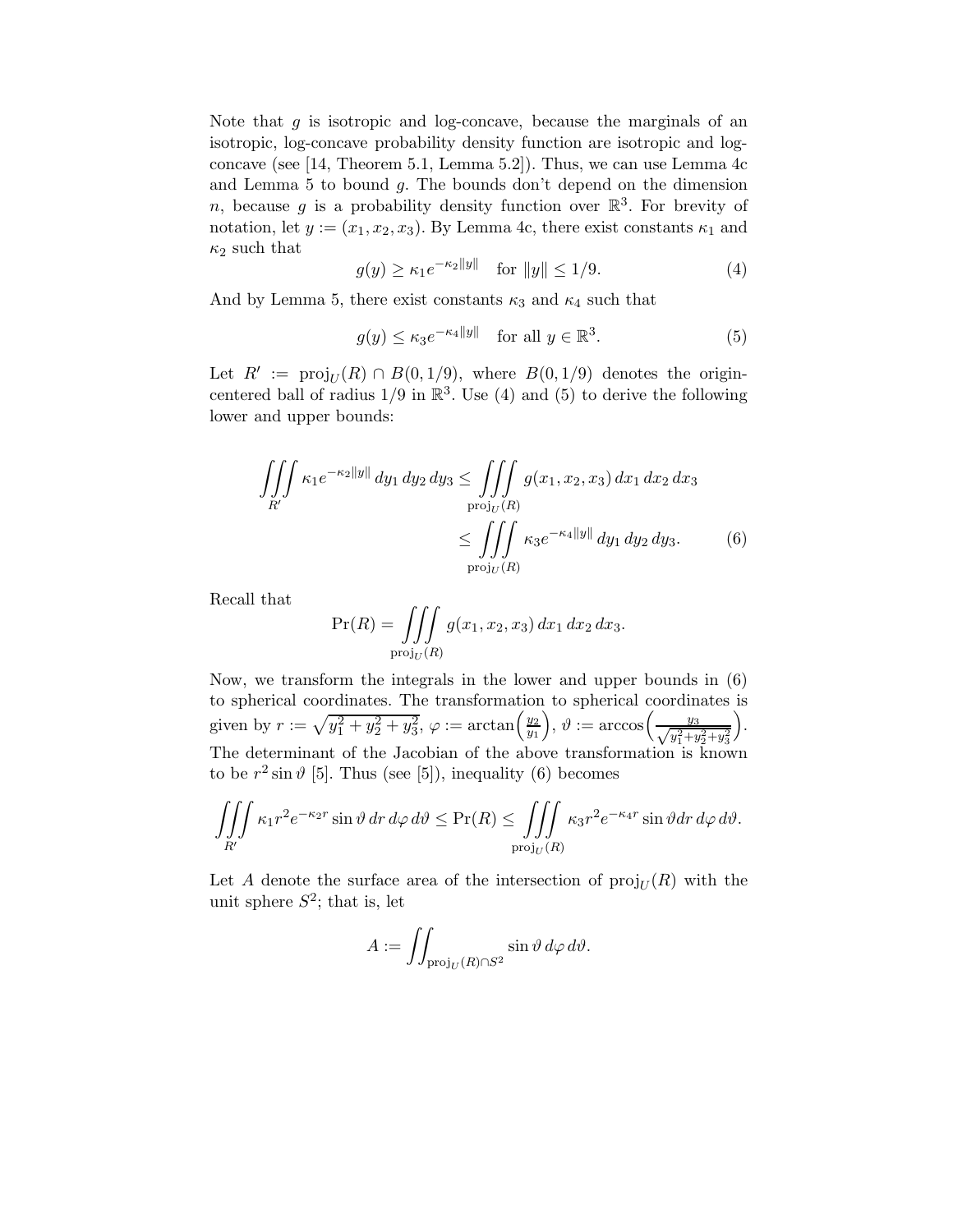Note that  $q$  is isotropic and log-concave, because the marginals of an isotropic, log-concave probability density function are isotropic and logconcave (see [14, Theorem 5.1, Lemma 5.2]). Thus, we can use Lemma 4c and Lemma 5 to bound g. The bounds don't depend on the dimension n, because g is a probability density function over  $\mathbb{R}^3$ . For brevity of notation, let  $y := (x_1, x_2, x_3)$ . By Lemma 4c, there exist constants  $\kappa_1$  and  $\kappa_2$  such that

$$
g(y) \ge \kappa_1 e^{-\kappa_2 \|y\|}
$$
 for  $||y|| \le 1/9$ . (4)

And by Lemma 5, there exist constants  $\kappa_3$  and  $\kappa_4$  such that

$$
g(y) \le \kappa_3 e^{-\kappa_4 \|y\|} \quad \text{for all } y \in \mathbb{R}^3. \tag{5}
$$

Let  $R' := \text{proj}_U(R) \cap B(0, 1/9)$ , where  $B(0, 1/9)$  denotes the origincentered ball of radius  $1/9$  in  $\mathbb{R}^3$ . Use (4) and (5) to derive the following lower and upper bounds:

$$
\iiint_{R'} \kappa_1 e^{-\kappa_2 \|y\|} dy_1 dy_2 dy_3 \le \iiint_{\text{proj}_U(R)} g(x_1, x_2, x_3) dx_1 dx_2 dx_3
$$

$$
\le \iiint_{\text{proj}_U(R)} \kappa_3 e^{-\kappa_4 \|y\|} dy_1 dy_2 dy_3. \tag{6}
$$

Recall that

$$
\Pr(R) = \iiint_{\text{proj}_U(R)} g(x_1, x_2, x_3) \, dx_1 \, dx_2 \, dx_3.
$$

Now, we transform the integrals in the lower and upper bounds in (6) to spherical coordinates. The transformation to spherical coordinates is given by  $r := \sqrt{y_1^2 + y_2^2 + y_3^2}$ ,  $\varphi := \arctan\left(\frac{y_2}{y_1}\right)$  $\left(\frac{y_2}{y_1}\right), \vartheta := \arccos\left(\frac{y_3}{\sqrt{y_1^2+y_2}}\right)$  $y_1^2+y_2^2+y_3^2$  . The determinant of the Jacobian of the above transformation is known to be  $r^2 \sin \vartheta$  [5]. Thus (see [5]), inequality (6) becomes

$$
\iiint\limits_{R'} \kappa_1 r^2 e^{-\kappa_2 r} \sin \vartheta \, dr \, d\varphi \, d\vartheta \le \Pr(R) \le \iiint\limits_{\text{proj}_U(R)} \kappa_3 r^2 e^{-\kappa_4 r} \sin \vartheta \, dr \, d\varphi \, d\vartheta.
$$

Let A denote the surface area of the intersection of  $proj_U(R)$  with the unit sphere  $S^2$ ; that is, let

$$
A := \iint_{\text{proj}_U(R) \cap S^2} \sin \vartheta \, d\varphi \, d\vartheta.
$$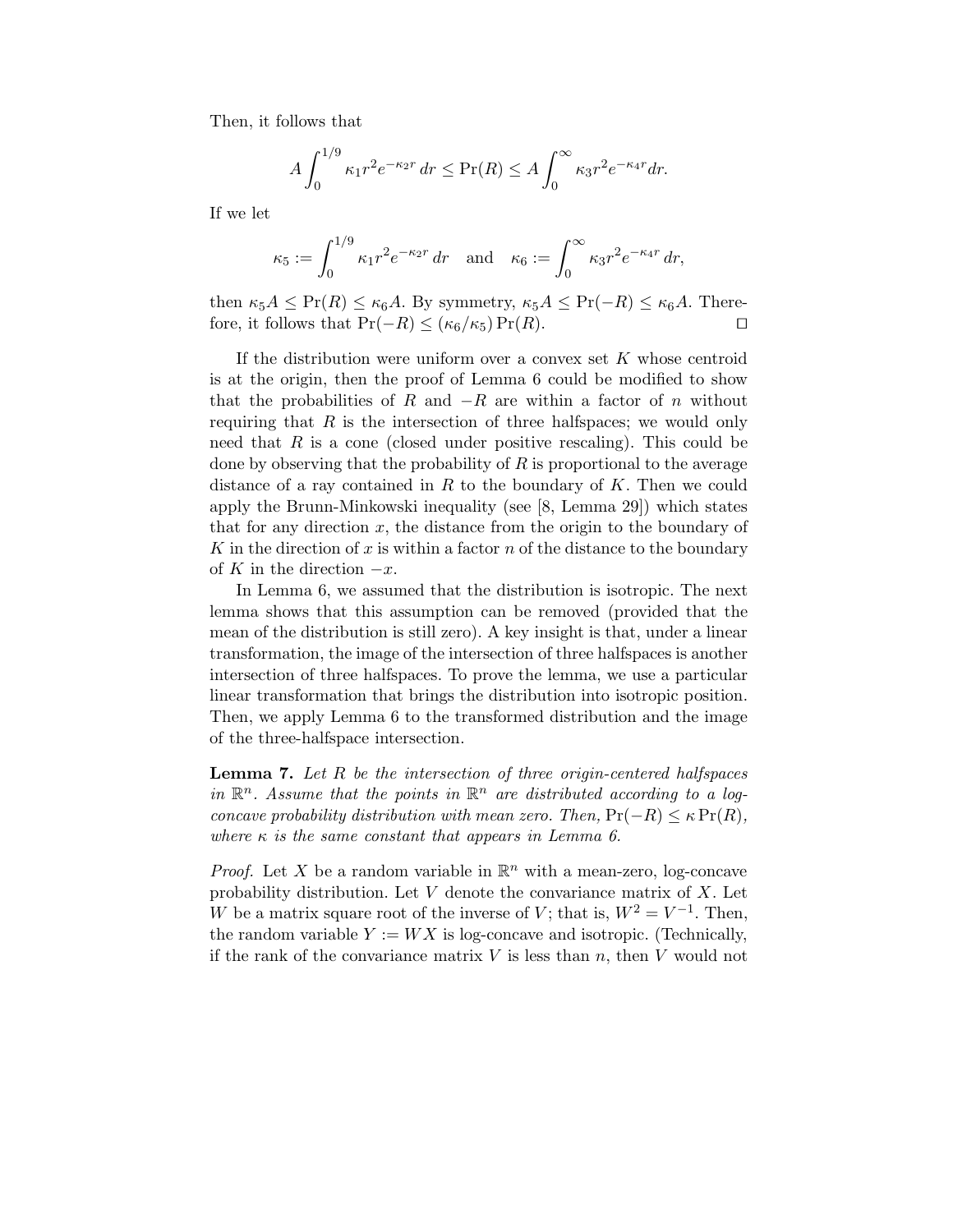Then, it follows that

$$
A\int_0^{1/9} \kappa_1 r^2 e^{-\kappa_2 r} dr \le \Pr(R) \le A \int_0^\infty \kappa_3 r^2 e^{-\kappa_4 r} dr.
$$

If we let

$$
\kappa_5 := \int_0^{1/9} \kappa_1 r^2 e^{-\kappa_2 r} dr \text{ and } \kappa_6 := \int_0^\infty \kappa_3 r^2 e^{-\kappa_4 r} dr,
$$

then  $\kappa_5 A \leq \Pr(R) \leq \kappa_6 A$ . By symmetry,  $\kappa_5 A \leq \Pr(-R) \leq \kappa_6 A$ . There-<br>fore, it follows that  $\Pr(-R) \leq (\kappa_6/\kappa_5) \Pr(R)$ . fore, it follows that  $Pr(-R) \leq (\kappa_6/\kappa_5) Pr(R)$ .

If the distribution were uniform over a convex set  $K$  whose centroid is at the origin, then the proof of Lemma 6 could be modified to show that the probabilities of R and  $-R$  are within a factor of n without requiring that  $R$  is the intersection of three halfspaces; we would only need that  $R$  is a cone (closed under positive rescaling). This could be done by observing that the probability of  $R$  is proportional to the average distance of a ray contained in  $R$  to the boundary of  $K$ . Then we could apply the Brunn-Minkowski inequality (see [8, Lemma 29]) which states that for any direction  $x$ , the distance from the origin to the boundary of K in the direction of x is within a factor n of the distance to the boundary of K in the direction  $-x$ .

In Lemma 6, we assumed that the distribution is isotropic. The next lemma shows that this assumption can be removed (provided that the mean of the distribution is still zero). A key insight is that, under a linear transformation, the image of the intersection of three halfspaces is another intersection of three halfspaces. To prove the lemma, we use a particular linear transformation that brings the distribution into isotropic position. Then, we apply Lemma 6 to the transformed distribution and the image of the three-halfspace intersection.

**Lemma 7.** Let  $R$  be the intersection of three origin-centered halfspaces in  $\mathbb{R}^n$ . Assume that the points in  $\mathbb{R}^n$  are distributed according to a logconcave probability distribution with mean zero. Then,  $Pr(-R) \leq \kappa Pr(R)$ , where  $\kappa$  is the same constant that appears in Lemma 6.

*Proof.* Let X be a random variable in  $\mathbb{R}^n$  with a mean-zero, log-concave probability distribution. Let  $V$  denote the convariance matrix of  $X$ . Let W be a matrix square root of the inverse of V; that is,  $W^2 = V^{-1}$ . Then, the random variable  $Y := W X$  is log-concave and isotropic. (Technically, if the rank of the convariance matrix V is less than  $n$ , then V would not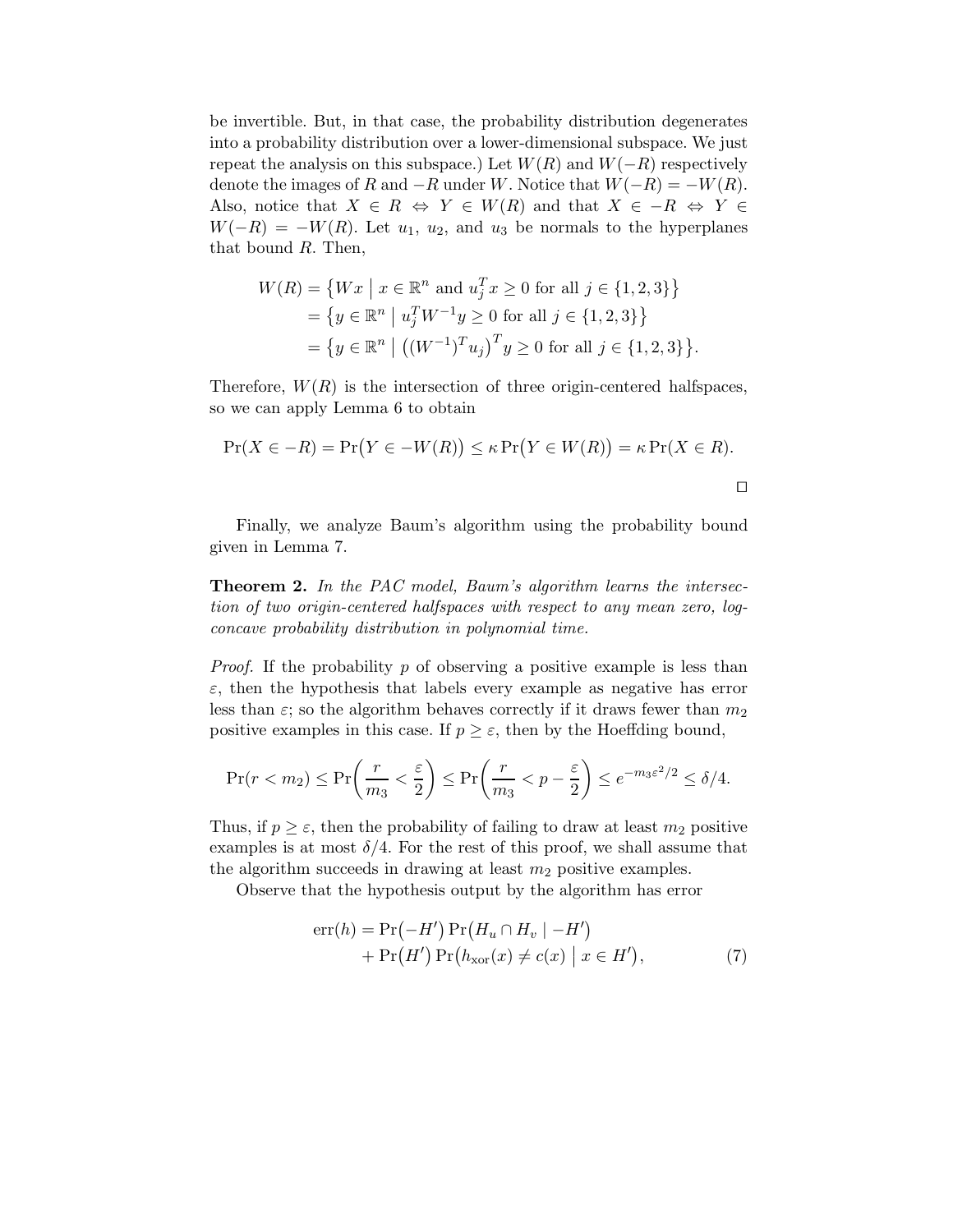be invertible. But, in that case, the probability distribution degenerates into a probability distribution over a lower-dimensional subspace. We just repeat the analysis on this subspace.) Let  $W(R)$  and  $W(-R)$  respectively denote the images of R and  $-R$  under W. Notice that  $W(-R) = -W(R)$ . Also, notice that  $X \in R \Leftrightarrow Y \in W(R)$  and that  $X \in -R \Leftrightarrow Y \in$  $W(-R) = -W(R)$ . Let  $u_1, u_2$ , and  $u_3$  be normals to the hyperplanes that bound  $R$ . Then,

$$
W(R) = \{ Wx \mid x \in \mathbb{R}^n \text{ and } u_j^T x \ge 0 \text{ for all } j \in \{1, 2, 3\} \}
$$
  
=  $\{ y \in \mathbb{R}^n \mid u_j^T W^{-1} y \ge 0 \text{ for all } j \in \{1, 2, 3\} \}$   
=  $\{ y \in \mathbb{R}^n \mid ((W^{-1})^T u_j)^T y \ge 0 \text{ for all } j \in \{1, 2, 3\} \}.$ 

Therefore,  $W(R)$  is the intersection of three origin-centered halfspaces, so we can apply Lemma 6 to obtain

$$
\Pr(X \in -R) = \Pr(Y \in -W(R)) \le \kappa \Pr(Y \in W(R)) = \kappa \Pr(X \in R).
$$

Finally, we analyze Baum's algorithm using the probability bound given in Lemma 7.

**Theorem 2.** In the PAC model, Baum's algorithm learns the intersection of two origin-centered halfspaces with respect to any mean zero, logconcave probability distribution in polynomial time.

*Proof.* If the probability p of observing a positive example is less than  $\varepsilon$ , then the hypothesis that labels every example as negative has error less than  $\varepsilon$ ; so the algorithm behaves correctly if it draws fewer than  $m_2$ positive examples in this case. If  $p \geq \varepsilon$ , then by the Hoeffding bound,

$$
\Pr(r < m_2) \le \Pr\left(\frac{r}{m_3} < \frac{\varepsilon}{2}\right) \le \Pr\left(\frac{r}{m_3} < p - \frac{\varepsilon}{2}\right) \le e^{-m_3 \varepsilon^2/2} \le \delta/4.
$$

Thus, if  $p \geq \varepsilon$ , then the probability of failing to draw at least  $m_2$  positive examples is at most  $\delta/4$ . For the rest of this proof, we shall assume that the algorithm succeeds in drawing at least  $m_2$  positive examples.

Observe that the hypothesis output by the algorithm has error

$$
err(h) = Pr(-H') Pr(H_u \cap H_v | -H')
$$
  
+ Pr(H') Pr(h<sub>xor</sub>(x)  $\neq c(x) | x \in H')$ , (7)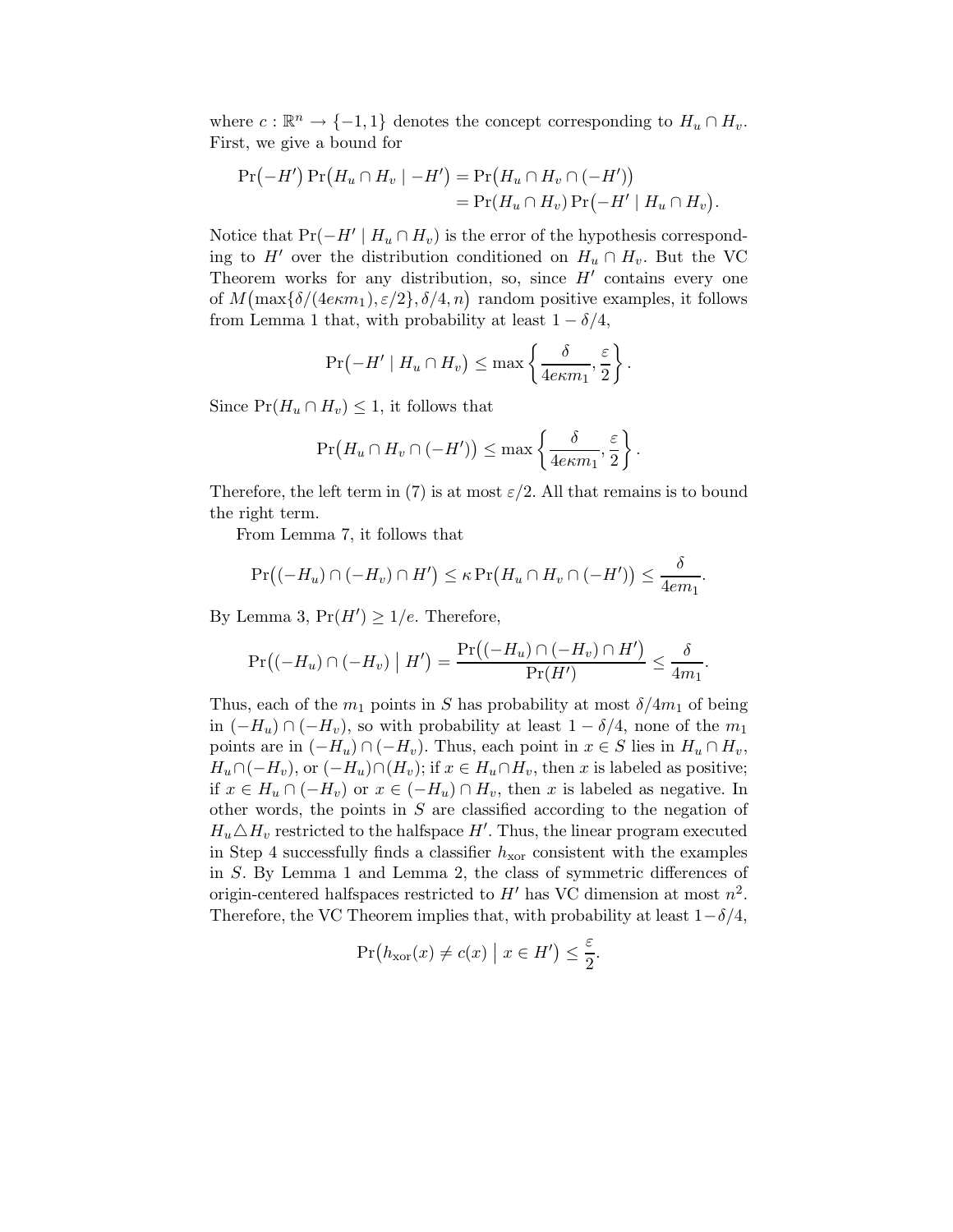where  $c : \mathbb{R}^n \to \{-1,1\}$  denotes the concept corresponding to  $H_u \cap H_v$ . First, we give a bound for

$$
\Pr(-H') \Pr(H_u \cap H_v \mid -H') = \Pr(H_u \cap H_v \cap (-H'))
$$
  
= 
$$
\Pr(H_u \cap H_v) \Pr(-H' \mid H_u \cap H_v).
$$

Notice that  $Pr(-H' | H_u \cap H_v)$  is the error of the hypothesis corresponding to H' over the distribution conditioned on  $H_u \cap H_v$ . But the VC Theorem works for any distribution, so, since  $H'$  contains every one of  $M(\max{\{\delta/(4e\kappa m_1), \varepsilon/2\}, \delta/4, n)}$  random positive examples, it follows from Lemma 1 that, with probability at least  $1 - \delta/4$ ,

$$
\Pr(-H' | H_u \cap H_v) \le \max\left\{\frac{\delta}{4e\kappa m_1}, \frac{\varepsilon}{2}\right\}.
$$

Since  $Pr(H_u \cap H_v) \leq 1$ , it follows that

$$
\Pr(H_u \cap H_v \cap (-H')) \le \max\left\{\frac{\delta}{4e\kappa m_1}, \frac{\varepsilon}{2}\right\}.
$$

Therefore, the left term in (7) is at most  $\varepsilon/2$ . All that remains is to bound the right term.

From Lemma 7, it follows that

$$
\Pr((-H_u) \cap (-H_v) \cap H') \leq \kappa \Pr(H_u \cap H_v \cap (-H')) \leq \frac{\delta}{4em_1}.
$$

By Lemma 3,  $Pr(H') \ge 1/e$ . Therefore,

$$
\Pr((-H_u) \cap (-H_v) \mid H') = \frac{\Pr((-H_u) \cap (-H_v) \cap H')}{\Pr(H')} \leq \frac{\delta}{4m_1}.
$$

Thus, each of the  $m_1$  points in S has probability at most  $\delta/4m_1$  of being in  $(-H_u) \cap (-H_v)$ , so with probability at least  $1 - \delta/4$ , none of the  $m_1$ points are in  $(-H_u) \cap (-H_v)$ . Thus, each point in  $x \in S$  lies in  $H_u \cap H_v$ ,  $H_u \cap (-H_v)$ , or  $(-H_u) \cap (H_v)$ ; if  $x \in H_u \cap H_v$ , then x is labeled as positive; if  $x \in H_u \cap (-H_v)$  or  $x \in (-H_u) \cap H_v$ , then x is labeled as negative. In other words, the points in S are classified according to the negation of  $H_u \triangle H_v$  restricted to the halfspace  $H'$ . Thus, the linear program executed in Step 4 successfully finds a classifier  $h_{\text{xor}}$  consistent with the examples in S. By Lemma 1 and Lemma 2, the class of symmetric differences of origin-centered halfspaces restricted to  $H'$  has VC dimension at most  $n^2$ . Therefore, the VC Theorem implies that, with probability at least  $1-\delta/4$ ,

$$
\Pr(h_{\text{xor}}(x) \neq c(x) \mid x \in H') \leq \frac{\varepsilon}{2}.
$$